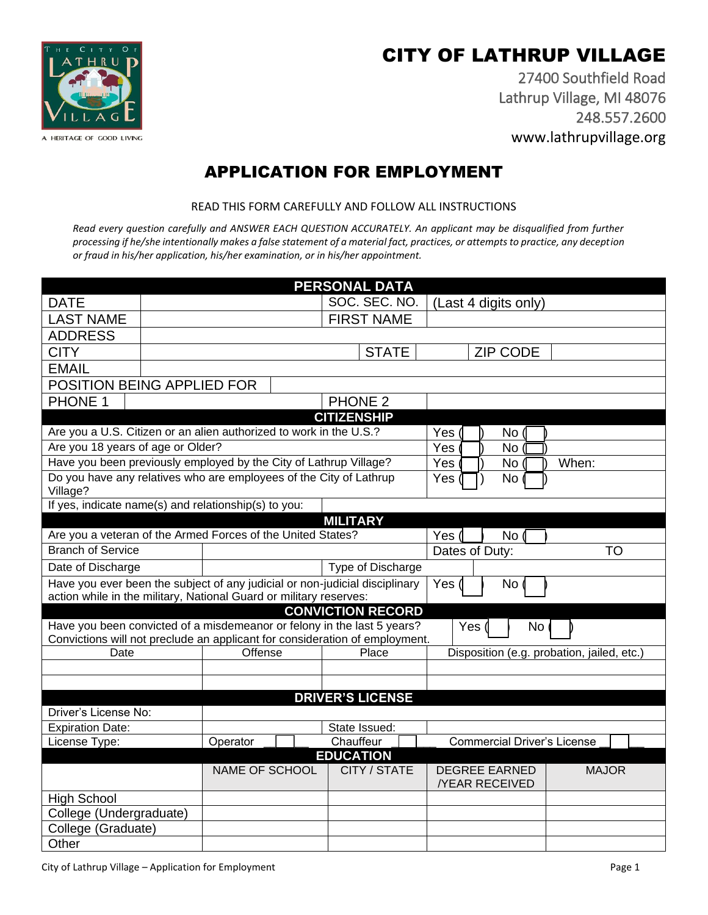# CITY OF LATHRUP VILLAGE

27400 Southfield Road Lathrup Village, MI 48076 248.557.2600 www.lathrupvillage.org



## APPLICATION FOR EMPLOYMENT

READ THIS FORM CAREFULLY AND FOLLOW ALL INSTRUCTIONS

*Read every question carefully and ANSWER EACH QUESTION ACCURATELY. An applicant may be disqualified from further processing if he/she intentionally makes a false statement of a material fact, practices, or attempts to practice, any deception or fraud in his/her application, his/her examination, or in his/her appointment.* 

|                                                                                                                    |  |                                                             |                   | <b>PERSONAL DATA</b>                                                        |                                            |
|--------------------------------------------------------------------------------------------------------------------|--|-------------------------------------------------------------|-------------------|-----------------------------------------------------------------------------|--------------------------------------------|
| <b>DATE</b>                                                                                                        |  |                                                             | SOC. SEC. NO.     | (Last 4 digits only)                                                        |                                            |
| <b>LAST NAME</b>                                                                                                   |  |                                                             | <b>FIRST NAME</b> |                                                                             |                                            |
| <b>ADDRESS</b>                                                                                                     |  |                                                             |                   |                                                                             |                                            |
| <b>CITY</b>                                                                                                        |  | <b>STATE</b>                                                | <b>ZIP CODE</b>   |                                                                             |                                            |
| <b>EMAIL</b>                                                                                                       |  |                                                             |                   |                                                                             |                                            |
| POSITION BEING APPLIED FOR                                                                                         |  |                                                             |                   |                                                                             |                                            |
| PHONE 1                                                                                                            |  |                                                             |                   | <b>PHONE 2</b>                                                              |                                            |
|                                                                                                                    |  |                                                             |                   | <b>CITIZENSHIP</b>                                                          |                                            |
| Are you a U.S. Citizen or an alien authorized to work in the U.S.?                                                 |  |                                                             |                   |                                                                             | Yes<br>No <sub>1</sub>                     |
| Are you 18 years of age or Older?                                                                                  |  |                                                             |                   |                                                                             | <b>Yes</b><br><b>No</b>                    |
| Have you been previously employed by the City of Lathrup Village?                                                  |  |                                                             |                   |                                                                             | Yes<br>When:<br>No                         |
| Do you have any relatives who are employees of the City of Lathrup<br>Village?                                     |  |                                                             |                   |                                                                             | Yes<br><b>No</b>                           |
| If yes, indicate name(s) and relationship(s) to you:                                                               |  |                                                             |                   |                                                                             |                                            |
| <b>MILITARY</b>                                                                                                    |  |                                                             |                   |                                                                             |                                            |
|                                                                                                                    |  | Are you a veteran of the Armed Forces of the United States? |                   |                                                                             | Yes $\mathcal I$<br>No <sub>0</sub>        |
| <b>Branch of Service</b>                                                                                           |  |                                                             |                   |                                                                             | Dates of Duty:<br><b>TO</b>                |
| Date of Discharge<br>Type of Discharge                                                                             |  |                                                             |                   |                                                                             |                                            |
| Have you ever been the subject of any judicial or non-judicial disciplinary<br>Yes<br>No                           |  |                                                             |                   |                                                                             |                                            |
| action while in the military, National Guard or military reserves:                                                 |  |                                                             |                   |                                                                             |                                            |
| <b>CONVICTION RECORD</b><br>Have you been convicted of a misdemeanor or felony in the last 5 years?<br>Yes (<br>No |  |                                                             |                   |                                                                             |                                            |
|                                                                                                                    |  |                                                             |                   | Convictions will not preclude an applicant for consideration of employment. |                                            |
| Date                                                                                                               |  | Offense                                                     |                   | Place                                                                       | Disposition (e.g. probation, jailed, etc.) |
|                                                                                                                    |  |                                                             |                   |                                                                             |                                            |
|                                                                                                                    |  |                                                             |                   |                                                                             |                                            |
|                                                                                                                    |  |                                                             |                   | <b>DRIVER'S LICENSE</b>                                                     |                                            |
| Driver's License No:                                                                                               |  |                                                             |                   |                                                                             |                                            |
| <b>Expiration Date:</b>                                                                                            |  |                                                             |                   | State Issued:                                                               |                                            |
| License Type:                                                                                                      |  | Operator                                                    |                   | Chauffeur                                                                   | <b>Commercial Driver's License</b>         |
|                                                                                                                    |  |                                                             |                   | <b>EDUCATION</b><br>CITY / STATE                                            | <b>DEGREE EARNED</b><br><b>MAJOR</b>       |
| NAME OF SCHOOL                                                                                                     |  |                                                             |                   | <b>/YEAR RECEIVED</b>                                                       |                                            |
| <b>High School</b>                                                                                                 |  |                                                             |                   |                                                                             |                                            |
| College (Undergraduate)                                                                                            |  |                                                             |                   |                                                                             |                                            |
| College (Graduate)                                                                                                 |  |                                                             |                   |                                                                             |                                            |
| Other                                                                                                              |  |                                                             |                   |                                                                             |                                            |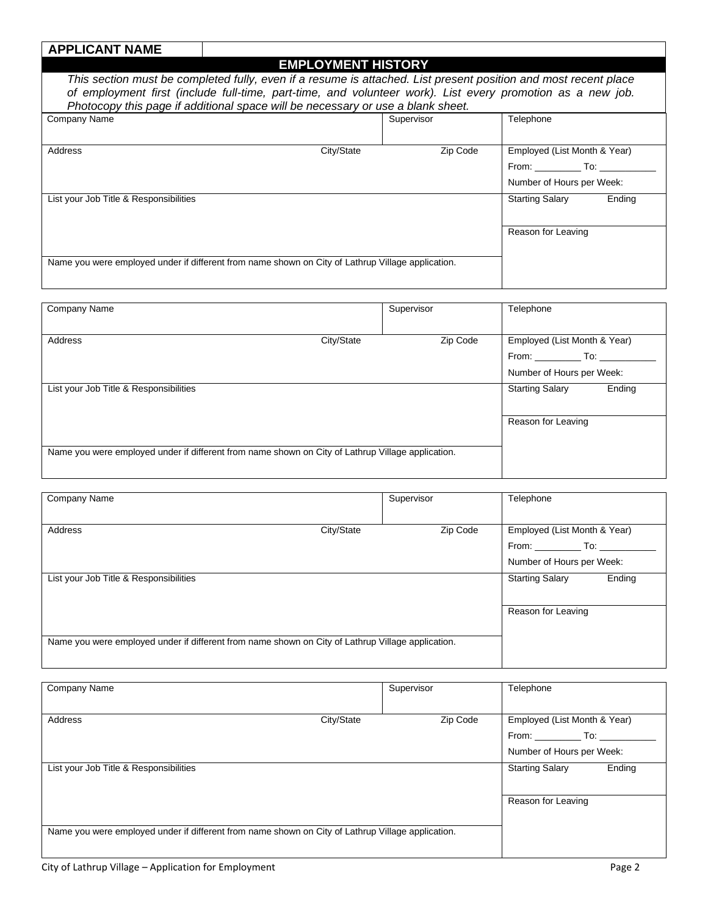## **APPLICANT NAME**

#### **EMPLOYMENT HISTORY**

|                                                                                                                     | EMPLOYMENT HISTORY |          |                              |        |
|---------------------------------------------------------------------------------------------------------------------|--------------------|----------|------------------------------|--------|
| This section must be completed fully, even if a resume is attached. List present position and most recent place     |                    |          |                              |        |
| of employment first (include full-time, part-time, and volunteer work). List every promotion as a new job.          |                    |          |                              |        |
| Photocopy this page if additional space will be necessary or use a blank sheet.                                     |                    |          |                              |        |
| Company Name                                                                                                        | Supervisor         |          | Telephone                    |        |
|                                                                                                                     |                    |          |                              |        |
| <b>Address</b>                                                                                                      | City/State         | Zip Code | Employed (List Month & Year) |        |
|                                                                                                                     |                    |          | From: To:                    |        |
|                                                                                                                     |                    |          | Number of Hours per Week:    |        |
| List your Job Title & Responsibilities                                                                              |                    |          | <b>Starting Salary</b>       | Ending |
|                                                                                                                     |                    |          | Reason for Leaving           |        |
| Magazi (1966) (1966) and also also include the contraction of the contraction of the contraction of the contraction |                    |          |                              |        |

Name you were employed under if different from name shown on City of Lathrup Village application.

| Company Name                                                                                      |            | Supervisor | Telephone                                                                                         |        |
|---------------------------------------------------------------------------------------------------|------------|------------|---------------------------------------------------------------------------------------------------|--------|
| Address                                                                                           | City/State | Zip Code   | Employed (List Month & Year)<br>From: _______________ To: __________<br>Number of Hours per Week: |        |
| List your Job Title & Responsibilities                                                            |            |            | <b>Starting Salary</b><br>Reason for Leaving                                                      | Ending |
| Name you were employed under if different from name shown on City of Lathrup Village application. |            |            |                                                                                                   |        |

| Company Name                                                                                      |            | Supervisor | Telephone                        |
|---------------------------------------------------------------------------------------------------|------------|------------|----------------------------------|
|                                                                                                   |            |            |                                  |
| Address                                                                                           | City/State | Zip Code   | Employed (List Month & Year)     |
|                                                                                                   |            |            | From: To:                        |
|                                                                                                   |            |            | Number of Hours per Week:        |
| List your Job Title & Responsibilities                                                            |            |            | <b>Starting Salary</b><br>Ending |
|                                                                                                   |            |            |                                  |
|                                                                                                   |            |            | Reason for Leaving               |
|                                                                                                   |            |            |                                  |
| Name you were employed under if different from name shown on City of Lathrup Village application. |            |            |                                  |
|                                                                                                   |            |            |                                  |

| Company Name                                                                                      |            | Supervisor | Telephone                        |
|---------------------------------------------------------------------------------------------------|------------|------------|----------------------------------|
|                                                                                                   |            |            |                                  |
| Address                                                                                           | City/State | Zip Code   | Employed (List Month & Year)     |
|                                                                                                   |            |            | From: To:                        |
|                                                                                                   |            |            | Number of Hours per Week:        |
| List your Job Title & Responsibilities                                                            |            |            | Ending<br><b>Starting Salary</b> |
|                                                                                                   |            |            |                                  |
|                                                                                                   |            |            | Reason for Leaving               |
|                                                                                                   |            |            |                                  |
| Name you were employed under if different from name shown on City of Lathrup Village application. |            |            |                                  |
|                                                                                                   |            |            |                                  |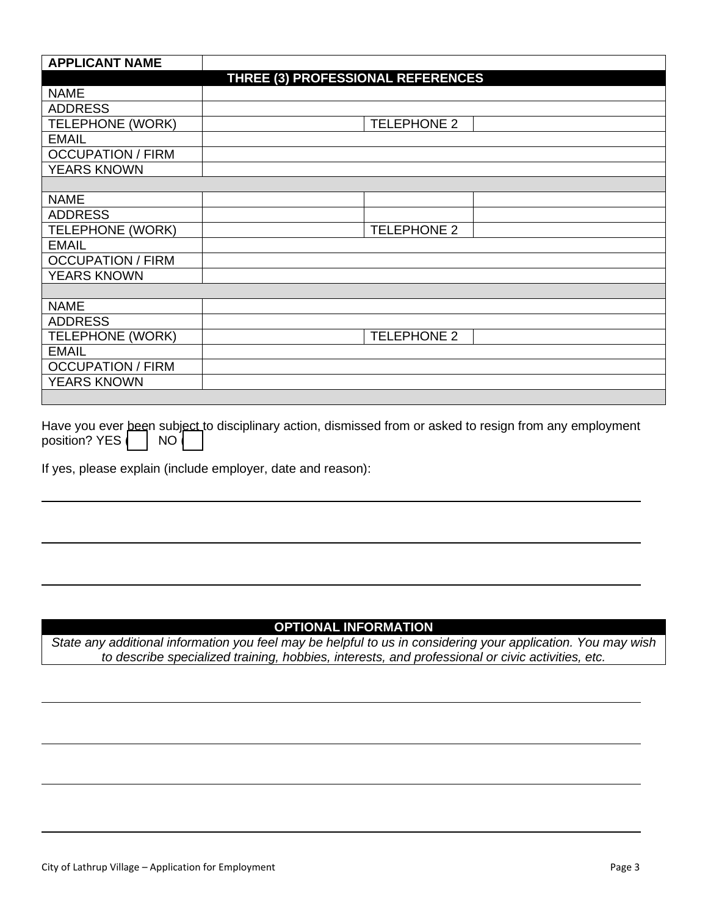| <b>APPLICANT NAME</b>    |                                   |
|--------------------------|-----------------------------------|
|                          | THREE (3) PROFESSIONAL REFERENCES |
| <b>NAME</b>              |                                   |
| <b>ADDRESS</b>           |                                   |
| <b>TELEPHONE (WORK)</b>  | <b>TELEPHONE 2</b>                |
| <b>EMAIL</b>             |                                   |
| <b>OCCUPATION / FIRM</b> |                                   |
| <b>YEARS KNOWN</b>       |                                   |
|                          |                                   |
| <b>NAME</b>              |                                   |
| <b>ADDRESS</b>           |                                   |
| <b>TELEPHONE (WORK)</b>  | <b>TELEPHONE 2</b>                |
| <b>EMAIL</b>             |                                   |
| <b>OCCUPATION / FIRM</b> |                                   |
| <b>YEARS KNOWN</b>       |                                   |
|                          |                                   |
| <b>NAME</b>              |                                   |
| <b>ADDRESS</b>           |                                   |
| <b>TELEPHONE (WORK)</b>  | <b>TELEPHONE 2</b>                |
| <b>EMAIL</b>             |                                   |
| <b>OCCUPATION / FIRM</b> |                                   |
| <b>YEARS KNOWN</b>       |                                   |
|                          |                                   |

Have you ever been subject to disciplinary action, dismissed from or asked to resign from any employment position? YES | | NO

If yes, please explain (include employer, date and reason):

### **OPTIONAL INFORMATION**

*State any additional information you feel may be helpful to us in considering your application. You may wish to describe specialized training, hobbies, interests, and professional or civic activities, etc.*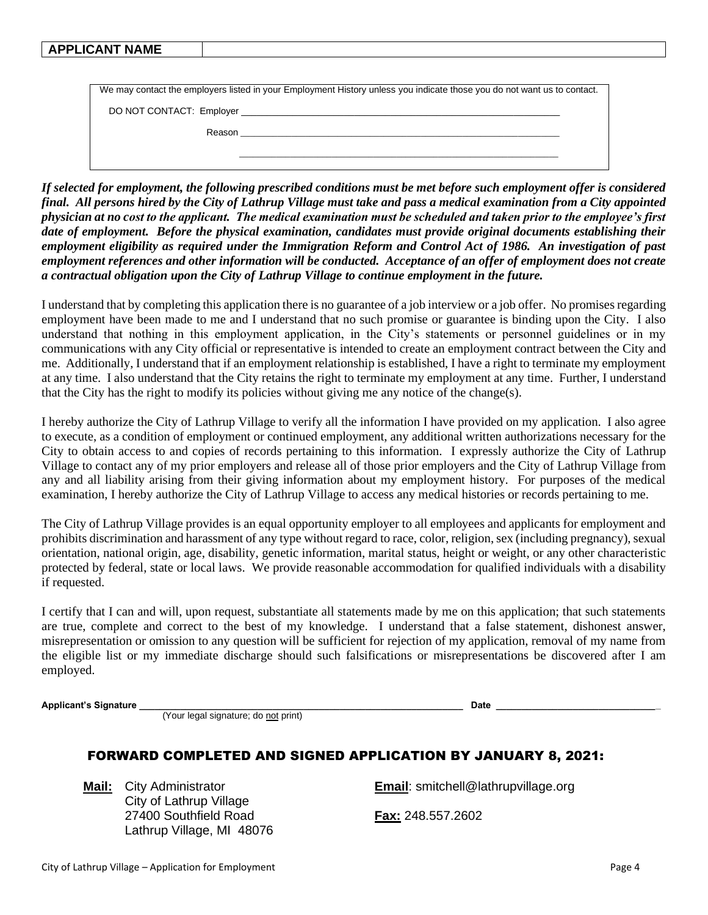#### **APPLICANT NAME**

| We may contact the employers listed in your Employment History unless you indicate those you do not want us to contact. |  |  |  |  |
|-------------------------------------------------------------------------------------------------------------------------|--|--|--|--|
| DO NOT CONTACT: Employer _________________________                                                                      |  |  |  |  |
| Reason                                                                                                                  |  |  |  |  |
|                                                                                                                         |  |  |  |  |

*If selected for employment, the following prescribed conditions must be met before such employment offer is considered final. All persons hired by the City of Lathrup Village must take and pass a medical examination from a City appointed physician at no cost to the applicant. The medical examination must be scheduled and taken prior to the employee's first date of employment. Before the physical examination, candidates must provide original documents establishing their employment eligibility as required under the Immigration Reform and Control Act of 1986. An investigation of past employment references and other information will be conducted. Acceptance of an offer of employment does not create a contractual obligation upon the City of Lathrup Village to continue employment in the future.*

I understand that by completing this application there is no guarantee of a job interview or a job offer. No promises regarding employment have been made to me and I understand that no such promise or guarantee is binding upon the City. I also understand that nothing in this employment application, in the City's statements or personnel guidelines or in my communications with any City official or representative is intended to create an employment contract between the City and me. Additionally, I understand that if an employment relationship is established, I have a right to terminate my employment at any time. I also understand that the City retains the right to terminate my employment at any time. Further, I understand that the City has the right to modify its policies without giving me any notice of the change(s).

I hereby authorize the City of Lathrup Village to verify all the information I have provided on my application. I also agree to execute, as a condition of employment or continued employment, any additional written authorizations necessary for the City to obtain access to and copies of records pertaining to this information. I expressly authorize the City of Lathrup Village to contact any of my prior employers and release all of those prior employers and the City of Lathrup Village from any and all liability arising from their giving information about my employment history. For purposes of the medical examination, I hereby authorize the City of Lathrup Village to access any medical histories or records pertaining to me.

The City of Lathrup Village provides is an equal opportunity employer to all employees and applicants for employment and prohibits discrimination and harassment of any type without regard to race, color, religion, sex (including pregnancy), sexual orientation, national origin, age, disability, genetic information, marital status, height or weight, or any other characteristic protected by federal, state or local laws. We provide reasonable accommodation for qualified individuals with a disability if requested.

I certify that I can and will, upon request, substantiate all statements made by me on this application; that such statements are true, complete and correct to the best of my knowledge. I understand that a false statement, dishonest answer, misrepresentation or omission to any question will be sufficient for rejection of my application, removal of my name from the eligible list or my immediate discharge should such falsifications or misrepresentations be discovered after I am employed.

**Applicant's Signature \_\_\_\_\_\_\_\_\_\_\_\_\_\_\_\_\_\_\_\_\_\_\_\_\_\_\_\_\_\_\_\_\_\_\_\_\_\_\_\_\_\_\_\_\_\_\_\_\_\_\_\_\_\_\_\_\_\_\_\_\_\_\_ Date \_\_\_\_\_\_\_\_\_\_\_\_\_\_\_\_\_\_\_\_\_\_\_\_\_\_\_\_\_\_\_\_**

(Your legal signature; do not print)

### FORWARD COMPLETED AND SIGNED APPLICATION BY JANUARY 8, 2021:

City of Lathrup Village 27400 Southfield Road **Fax:** 248.557.2602 Lathrup Village, MI 48076

**Mail:** City Administrator **Email**: [smitchell@lathrupvillage.org](mailto:smitchell@lathrupvillage.org)